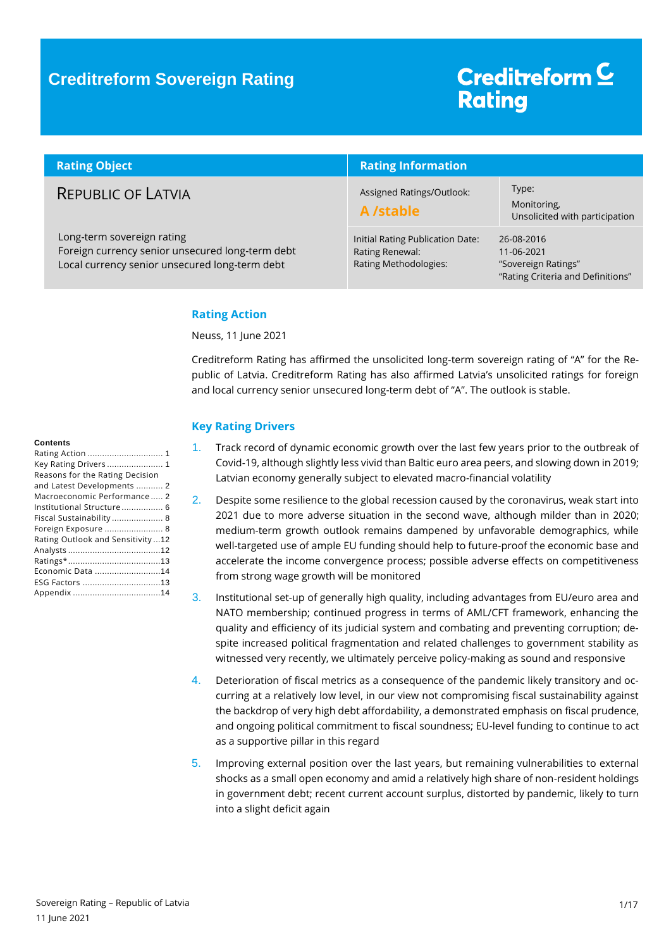### **Creditreform Sovereign Rating**

# Creditreform<sup>C</sup> **Rating**

| <b>Rating Object</b>                                                                                                             | <b>Rating Information</b>                                                    |                                                                                      |  |
|----------------------------------------------------------------------------------------------------------------------------------|------------------------------------------------------------------------------|--------------------------------------------------------------------------------------|--|
| <b>REPUBLIC OF LATVIA</b>                                                                                                        | Assigned Ratings/Outlook:<br>A /stable                                       | Type:<br>Monitoring,<br>Unsolicited with participation                               |  |
| Long-term sovereign rating<br>Foreign currency senior unsecured long-term debt<br>Local currency senior unsecured long-term debt | Initial Rating Publication Date:<br>Rating Renewal:<br>Rating Methodologies: | 26-08-2016<br>11-06-2021<br>"Sovereign Ratings"<br>"Rating Criteria and Definitions" |  |

### <span id="page-0-0"></span>**Rating Action**

Neuss, 11 June 2021

Creditreform Rating has affirmed the unsolicited long-term sovereign rating of "A" for the Republic of Latvia. Creditreform Rating has also affirmed Latvia's unsolicited ratings for foreign and local currency senior unsecured long-term debt of "A". The outlook is stable.

#### <span id="page-0-1"></span>**Key Rating Drivers**

- 1. Track record of dynamic economic growth over the last few years prior to the outbreak of Covid-19, although slightly less vivid than Baltic euro area peers, and slowing down in 2019; Latvian economy generally subject to elevated macro-financial volatility
- 2. Despite some resilience to the global recession caused by the coronavirus, weak start into 2021 due to more adverse situation in the second wave, although milder than in 2020; medium-term growth outlook remains dampened by unfavorable demographics, while well-targeted use of ample EU funding should help to future-proof the economic base and accelerate the income convergence process; possible adverse effects on competitiveness from strong wage growth will be monitored
- 3. Institutional set-up of generally high quality, including advantages from EU/euro area and NATO membership; continued progress in terms of AML/CFT framework, enhancing the quality and efficiency of its judicial system and combating and preventing corruption; despite increased political fragmentation and related challenges to government stability as witnessed very recently, we ultimately perceive policy-making as sound and responsive
- 4. Deterioration of fiscal metrics as a consequence of the pandemic likely transitory and occurring at a relatively low level, in our view not compromising fiscal sustainability against the backdrop of very high debt affordability, a demonstrated emphasis on fiscal prudence, and ongoing political commitment to fiscal soundness; EU-level funding to continue to act as a supportive pillar in this regard
- 5. Improving external position over the last years, but remaining vulnerabilities to external shocks as a small open economy and amid a relatively high share of non-resident holdings in government debt; recent current account surplus, distorted by pandemic, likely to turn into a slight deficit again

#### **Contents**

| Key Rating Drivers  1              |  |
|------------------------------------|--|
| Reasons for the Rating Decision    |  |
| and Latest Developments  2         |  |
| Macroeconomic Performance 2        |  |
| Institutional Structure 6          |  |
| Fiscal Sustainability  8           |  |
| Foreign Exposure  8                |  |
| Rating Outlook and Sensitivity  12 |  |
|                                    |  |
|                                    |  |
| Economic Data 14                   |  |
| ESG Factors 13                     |  |
|                                    |  |
|                                    |  |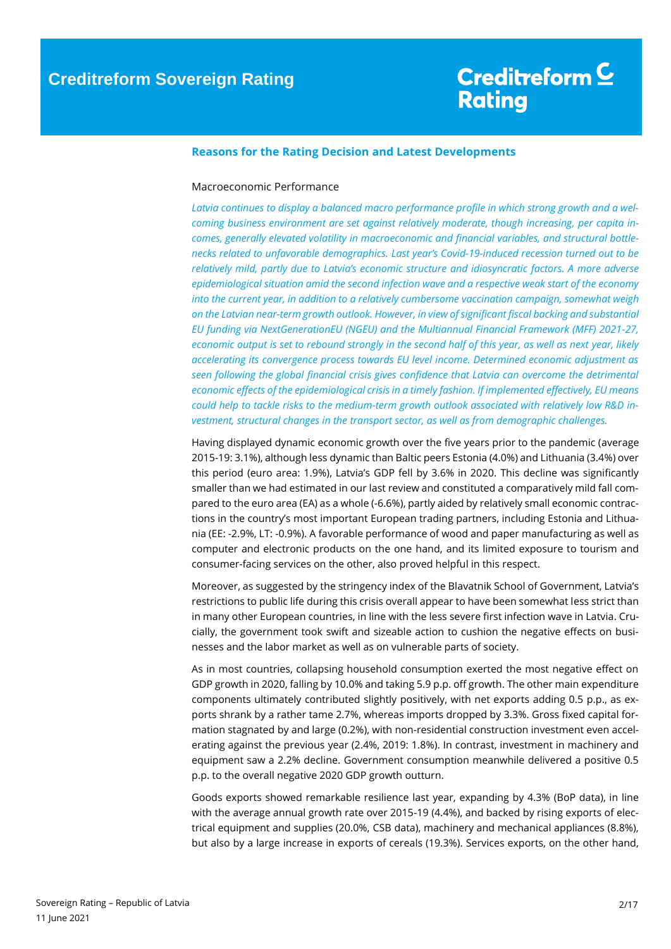### <span id="page-1-0"></span>**Reasons for the Rating Decision and Latest Developments**

#### <span id="page-1-1"></span>Macroeconomic Performance

*Latvia continues to display a balanced macro performance profile in which strong growth and a welcoming business environment are set against relatively moderate, though increasing, per capita incomes, generally elevated volatility in macroeconomic and financial variables, and structural bottlenecks related to unfavorable demographics. Last year's Covid-19-induced recession turned out to be relatively mild, partly due to Latvia's economic structure and idiosyncratic factors. A more adverse epidemiological situation amid the second infection wave and a respective weak start of the economy into the current year, in addition to a relatively cumbersome vaccination campaign, somewhat weigh on the Latvian near-term growth outlook. However, in view of significant fiscal backing and substantial EU funding via NextGenerationEU (NGEU) and the Multiannual Financial Framework (MFF) 2021-27, economic output is set to rebound strongly in the second half of this year, as well as next year, likely accelerating its convergence process towards EU level income. Determined economic adjustment as seen following the global financial crisis gives confidence that Latvia can overcome the detrimental economic effects of the epidemiological crisis in a timely fashion. If implemented effectively, EU means could help to tackle risks to the medium-term growth outlook associated with relatively low R&D investment, structural changes in the transport sector, as well as from demographic challenges.*

Having displayed dynamic economic growth over the five years prior to the pandemic (average 2015-19: 3.1%), although less dynamic than Baltic peers Estonia (4.0%) and Lithuania (3.4%) over this period (euro area: 1.9%), Latvia's GDP fell by 3.6% in 2020. This decline was significantly smaller than we had estimated in our last review and constituted a comparatively mild fall compared to the euro area (EA) as a whole (-6.6%), partly aided by relatively small economic contractions in the country's most important European trading partners, including Estonia and Lithuania (EE: -2.9%, LT: -0.9%). A favorable performance of wood and paper manufacturing as well as computer and electronic products on the one hand, and its limited exposure to tourism and consumer-facing services on the other, also proved helpful in this respect.

Moreover, as suggested by the stringency index of the Blavatnik School of Government, Latvia's restrictions to public life during this crisis overall appear to have been somewhat less strict than in many other European countries, in line with the less severe first infection wave in Latvia. Crucially, the government took swift and sizeable action to cushion the negative effects on businesses and the labor market as well as on vulnerable parts of society.

As in most countries, collapsing household consumption exerted the most negative effect on GDP growth in 2020, falling by 10.0% and taking 5.9 p.p. off growth. The other main expenditure components ultimately contributed slightly positively, with net exports adding 0.5 p.p., as exports shrank by a rather tame 2.7%, whereas imports dropped by 3.3%. Gross fixed capital formation stagnated by and large (0.2%), with non-residential construction investment even accelerating against the previous year (2.4%, 2019: 1.8%). In contrast, investment in machinery and equipment saw a 2.2% decline. Government consumption meanwhile delivered a positive 0.5 p.p. to the overall negative 2020 GDP growth outturn.

Goods exports showed remarkable resilience last year, expanding by 4.3% (BoP data), in line with the average annual growth rate over 2015-19 (4.4%), and backed by rising exports of electrical equipment and supplies (20.0%, CSB data), machinery and mechanical appliances (8.8%), but also by a large increase in exports of cereals (19.3%). Services exports, on the other hand,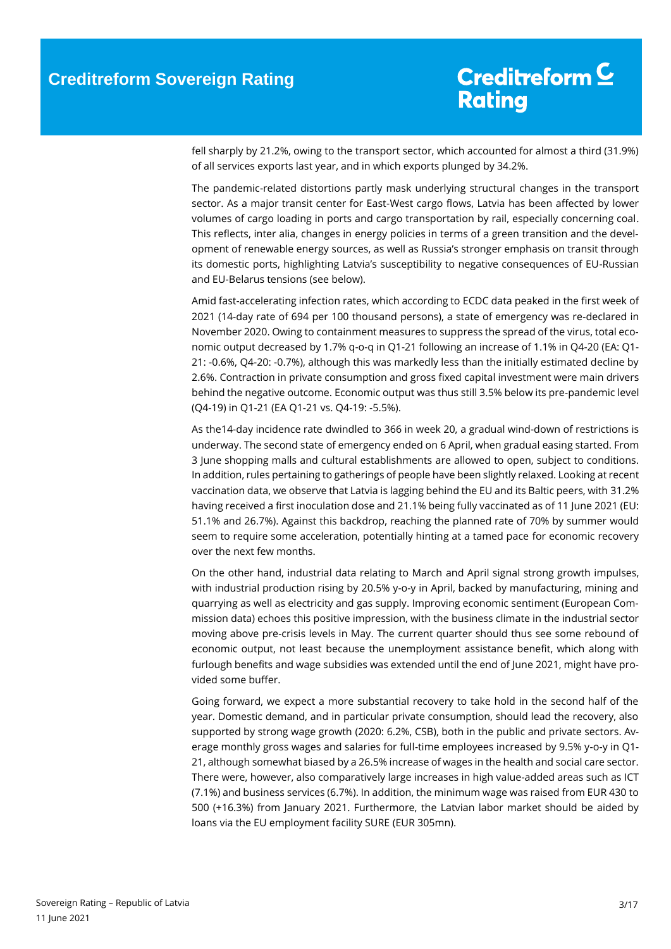fell sharply by 21.2%, owing to the transport sector, which accounted for almost a third (31.9%) of all services exports last year, and in which exports plunged by 34.2%.

The pandemic-related distortions partly mask underlying structural changes in the transport sector. As a major transit center for East-West cargo flows, Latvia has been affected by lower volumes of cargo loading in ports and cargo transportation by rail, especially concerning coal. This reflects, inter alia, changes in energy policies in terms of a green transition and the development of renewable energy sources, as well as Russia's stronger emphasis on transit through its domestic ports, highlighting Latvia's susceptibility to negative consequences of EU-Russian and EU-Belarus tensions (see below).

Amid fast-accelerating infection rates, which according to ECDC data peaked in the first week of 2021 (14-day rate of 694 per 100 thousand persons), a state of emergency was re-declared in November 2020. Owing to containment measures to suppress the spread of the virus, total economic output decreased by 1.7% q-o-q in Q1-21 following an increase of 1.1% in Q4-20 (EA: Q1- 21: -0.6%, Q4-20: -0.7%), although this was markedly less than the initially estimated decline by 2.6%. Contraction in private consumption and gross fixed capital investment were main drivers behind the negative outcome. Economic output was thus still 3.5% below its pre-pandemic level (Q4-19) in Q1-21 (EA Q1-21 vs. Q4-19: -5.5%).

As the14-day incidence rate dwindled to 366 in week 20, a gradual wind-down of restrictions is underway. The second state of emergency ended on 6 April, when gradual easing started. From 3 June shopping malls and cultural establishments are allowed to open, subject to conditions. In addition, rules pertaining to gatherings of people have been slightly relaxed. Looking at recent vaccination data, we observe that Latvia is lagging behind the EU and its Baltic peers, with 31.2% having received a first inoculation dose and 21.1% being fully vaccinated as of 11 June 2021 (EU: 51.1% and 26.7%). Against this backdrop, reaching the planned rate of 70% by summer would seem to require some acceleration, potentially hinting at a tamed pace for economic recovery over the next few months.

On the other hand, industrial data relating to March and April signal strong growth impulses, with industrial production rising by 20.5% y-o-y in April, backed by manufacturing, mining and quarrying as well as electricity and gas supply. Improving economic sentiment (European Commission data) echoes this positive impression, with the business climate in the industrial sector moving above pre-crisis levels in May. The current quarter should thus see some rebound of economic output, not least because the unemployment assistance benefit, which along with furlough benefits and wage subsidies was extended until the end of June 2021, might have provided some buffer.

Going forward, we expect a more substantial recovery to take hold in the second half of the year. Domestic demand, and in particular private consumption, should lead the recovery, also supported by strong wage growth (2020: 6.2%, CSB), both in the public and private sectors. Average monthly gross wages and salaries for full-time employees increased by 9.5% y-o-y in Q1- 21, although somewhat biased by a 26.5% increase of wages in the health and social care sector. There were, however, also comparatively large increases in high value-added areas such as ICT (7.1%) and business services (6.7%). In addition, the minimum wage was raised from EUR 430 to 500 (+16.3%) from January 2021. Furthermore, the Latvian labor market should be aided by loans via the EU employment facility SURE (EUR 305mn).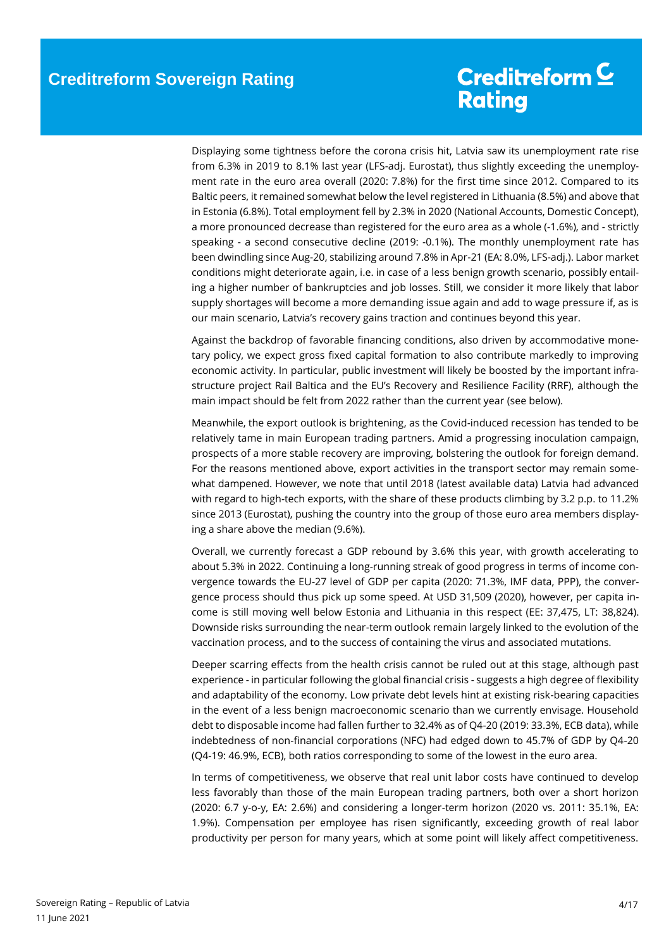Displaying some tightness before the corona crisis hit, Latvia saw its unemployment rate rise from 6.3% in 2019 to 8.1% last year (LFS-adj. Eurostat), thus slightly exceeding the unemployment rate in the euro area overall (2020: 7.8%) for the first time since 2012. Compared to its Baltic peers, it remained somewhat below the level registered in Lithuania (8.5%) and above that in Estonia (6.8%). Total employment fell by 2.3% in 2020 (National Accounts, Domestic Concept), a more pronounced decrease than registered for the euro area as a whole (-1.6%), and - strictly speaking - a second consecutive decline (2019: -0.1%). The monthly unemployment rate has been dwindling since Aug-20, stabilizing around 7.8% in Apr-21 (EA: 8.0%, LFS-adj.). Labor market conditions might deteriorate again, i.e. in case of a less benign growth scenario, possibly entailing a higher number of bankruptcies and job losses. Still, we consider it more likely that labor supply shortages will become a more demanding issue again and add to wage pressure if, as is our main scenario, Latvia's recovery gains traction and continues beyond this year.

Against the backdrop of favorable financing conditions, also driven by accommodative monetary policy, we expect gross fixed capital formation to also contribute markedly to improving economic activity. In particular, public investment will likely be boosted by the important infrastructure project Rail Baltica and the EU's Recovery and Resilience Facility (RRF), although the main impact should be felt from 2022 rather than the current year (see below).

Meanwhile, the export outlook is brightening, as the Covid-induced recession has tended to be relatively tame in main European trading partners. Amid a progressing inoculation campaign, prospects of a more stable recovery are improving, bolstering the outlook for foreign demand. For the reasons mentioned above, export activities in the transport sector may remain somewhat dampened. However, we note that until 2018 (latest available data) Latvia had advanced with regard to high-tech exports, with the share of these products climbing by 3.2 p.p. to 11.2% since 2013 (Eurostat), pushing the country into the group of those euro area members displaying a share above the median (9.6%).

Overall, we currently forecast a GDP rebound by 3.6% this year, with growth accelerating to about 5.3% in 2022. Continuing a long-running streak of good progress in terms of income convergence towards the EU-27 level of GDP per capita (2020: 71.3%, IMF data, PPP), the convergence process should thus pick up some speed. At USD 31,509 (2020), however, per capita income is still moving well below Estonia and Lithuania in this respect (EE: 37,475, LT: 38,824). Downside risks surrounding the near-term outlook remain largely linked to the evolution of the vaccination process, and to the success of containing the virus and associated mutations.

Deeper scarring effects from the health crisis cannot be ruled out at this stage, although past experience - in particular following the global financial crisis - suggests a high degree of flexibility and adaptability of the economy. Low private debt levels hint at existing risk-bearing capacities in the event of a less benign macroeconomic scenario than we currently envisage. Household debt to disposable income had fallen further to 32.4% as of Q4-20 (2019: 33.3%, ECB data), while indebtedness of non-financial corporations (NFC) had edged down to 45.7% of GDP by Q4-20 (Q4-19: 46.9%, ECB), both ratios corresponding to some of the lowest in the euro area.

In terms of competitiveness, we observe that real unit labor costs have continued to develop less favorably than those of the main European trading partners, both over a short horizon (2020: 6.7 y-o-y, EA: 2.6%) and considering a longer-term horizon (2020 vs. 2011: 35.1%, EA: 1.9%). Compensation per employee has risen significantly, exceeding growth of real labor productivity per person for many years, which at some point will likely affect competitiveness.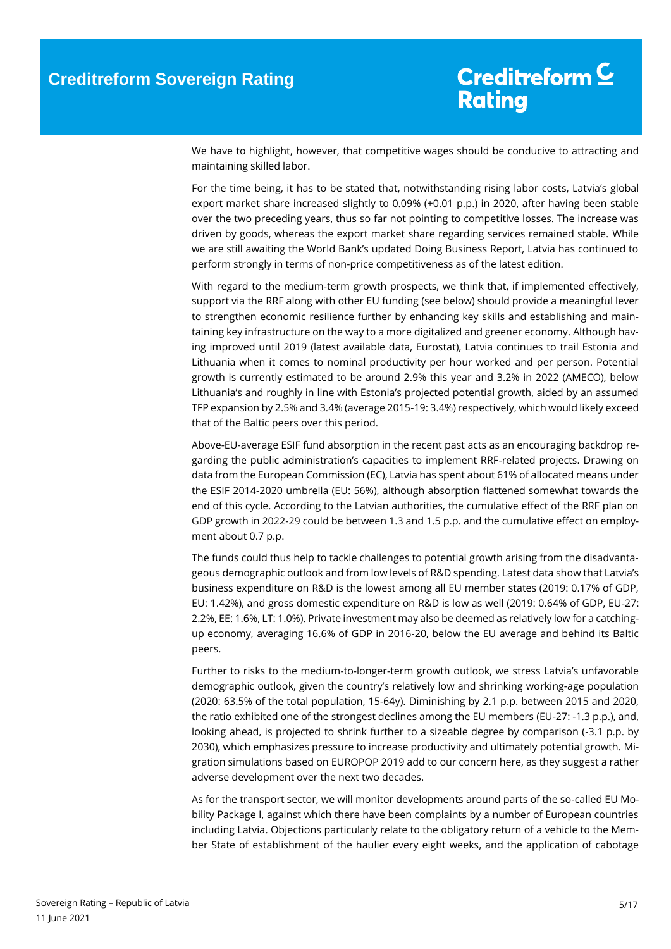We have to highlight, however, that competitive wages should be conducive to attracting and maintaining skilled labor.

For the time being, it has to be stated that, notwithstanding rising labor costs, Latvia's global export market share increased slightly to 0.09% (+0.01 p.p.) in 2020, after having been stable over the two preceding years, thus so far not pointing to competitive losses. The increase was driven by goods, whereas the export market share regarding services remained stable. While we are still awaiting the World Bank's updated Doing Business Report, Latvia has continued to perform strongly in terms of non-price competitiveness as of the latest edition.

With regard to the medium-term growth prospects, we think that, if implemented effectively, support via the RRF along with other EU funding (see below) should provide a meaningful lever to strengthen economic resilience further by enhancing key skills and establishing and maintaining key infrastructure on the way to a more digitalized and greener economy. Although having improved until 2019 (latest available data, Eurostat), Latvia continues to trail Estonia and Lithuania when it comes to nominal productivity per hour worked and per person. Potential growth is currently estimated to be around 2.9% this year and 3.2% in 2022 (AMECO), below Lithuania's and roughly in line with Estonia's projected potential growth, aided by an assumed TFP expansion by 2.5% and 3.4% (average 2015-19: 3.4%) respectively, which would likely exceed that of the Baltic peers over this period.

Above-EU-average ESIF fund absorption in the recent past acts as an encouraging backdrop regarding the public administration's capacities to implement RRF-related projects. Drawing on data from the European Commission (EC), Latvia has spent about 61% of allocated means under the ESIF 2014-2020 umbrella (EU: 56%), although absorption flattened somewhat towards the end of this cycle. According to the Latvian authorities, the cumulative effect of the RRF plan on GDP growth in 2022-29 could be between 1.3 and 1.5 p.p. and the cumulative effect on employment about 0.7 p.p.

The funds could thus help to tackle challenges to potential growth arising from the disadvantageous demographic outlook and from low levels of R&D spending. Latest data show that Latvia's business expenditure on R&D is the lowest among all EU member states (2019: 0.17% of GDP, EU: 1.42%), and gross domestic expenditure on R&D is low as well (2019: 0.64% of GDP, EU-27: 2.2%, EE: 1.6%, LT: 1.0%). Private investment may also be deemed as relatively low for a catchingup economy, averaging 16.6% of GDP in 2016-20, below the EU average and behind its Baltic peers.

Further to risks to the medium-to-longer-term growth outlook, we stress Latvia's unfavorable demographic outlook, given the country's relatively low and shrinking working-age population (2020: 63.5% of the total population, 15-64y). Diminishing by 2.1 p.p. between 2015 and 2020, the ratio exhibited one of the strongest declines among the EU members (EU-27: -1.3 p.p.), and, looking ahead, is projected to shrink further to a sizeable degree by comparison (-3.1 p.p. by 2030), which emphasizes pressure to increase productivity and ultimately potential growth. Migration simulations based on EUROPOP 2019 add to our concern here, as they suggest a rather adverse development over the next two decades.

As for the transport sector, we will monitor developments around parts of the so-called EU Mobility Package I, against which there have been complaints by a number of European countries including Latvia. Objections particularly relate to the obligatory return of a vehicle to the Member State of establishment of the haulier every eight weeks, and the application of cabotage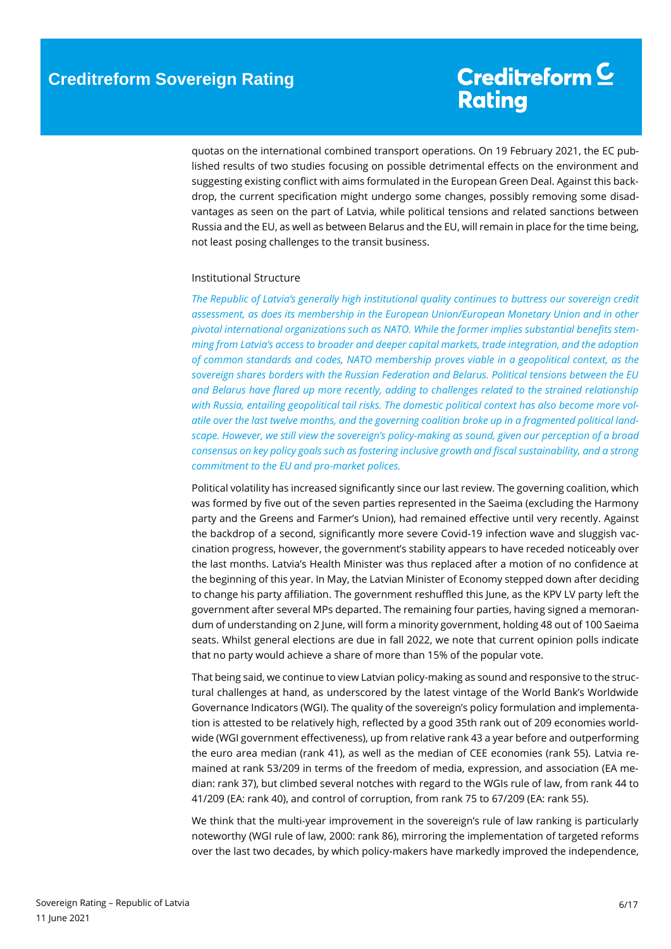quotas on the international combined transport operations. On 19 February 2021, the EC published results of two studies focusing on possible detrimental effects on the environment and suggesting existing conflict with aims formulated in the European Green Deal. Against this backdrop, the current specification might undergo some changes, possibly removing some disadvantages as seen on the part of Latvia, while political tensions and related sanctions between Russia and the EU, as well as between Belarus and the EU, will remain in place for the time being, not least posing challenges to the transit business.

#### <span id="page-5-0"></span>Institutional Structure

*The Republic of Latvia's generally high institutional quality continues to buttress our sovereign credit assessment, as does its membership in the European Union/European Monetary Union and in other pivotal international organizations such as NATO. While the former implies substantial benefits stemming from Latvia's access to broader and deeper capital markets, trade integration, and the adoption of common standards and codes, NATO membership proves viable in a geopolitical context, as the sovereign shares borders with the Russian Federation and Belarus. Political tensions between the EU and Belarus have flared up more recently, adding to challenges related to the strained relationship with Russia, entailing geopolitical tail risks. The domestic political context has also become more volatile over the last twelve months, and the governing coalition broke up in a fragmented political landscape. However, we still view the sovereign's policy-making as sound, given our perception of a broad consensus on key policy goals such as fostering inclusive growth and fiscal sustainability, and a strong commitment to the EU and pro-market polices.*

Political volatility has increased significantly since our last review. The governing coalition, which was formed by five out of the seven parties represented in the Saeima (excluding the Harmony party and the Greens and Farmer's Union), had remained effective until very recently. Against the backdrop of a second, significantly more severe Covid-19 infection wave and sluggish vaccination progress, however, the government's stability appears to have receded noticeably over the last months. Latvia's Health Minister was thus replaced after a motion of no confidence at the beginning of this year. In May, the Latvian Minister of Economy stepped down after deciding to change his party affiliation. The government reshuffled this June, as the KPV LV party left the government after several MPs departed. The remaining four parties, having signed a memorandum of understanding on 2 June, will form a minority government, holding 48 out of 100 Saeima seats. Whilst general elections are due in fall 2022, we note that current opinion polls indicate that no party would achieve a share of more than 15% of the popular vote.

That being said, we continue to view Latvian policy-making as sound and responsive to the structural challenges at hand, as underscored by the latest vintage of the World Bank's Worldwide Governance Indicators (WGI). The quality of the sovereign's policy formulation and implementation is attested to be relatively high, reflected by a good 35th rank out of 209 economies worldwide (WGI government effectiveness), up from relative rank 43 a year before and outperforming the euro area median (rank 41), as well as the median of CEE economies (rank 55). Latvia remained at rank 53/209 in terms of the freedom of media, expression, and association (EA median: rank 37), but climbed several notches with regard to the WGIs rule of law, from rank 44 to 41/209 (EA: rank 40), and control of corruption, from rank 75 to 67/209 (EA: rank 55).

We think that the multi-year improvement in the sovereign's rule of law ranking is particularly noteworthy (WGI rule of law, 2000: rank 86), mirroring the implementation of targeted reforms over the last two decades, by which policy-makers have markedly improved the independence,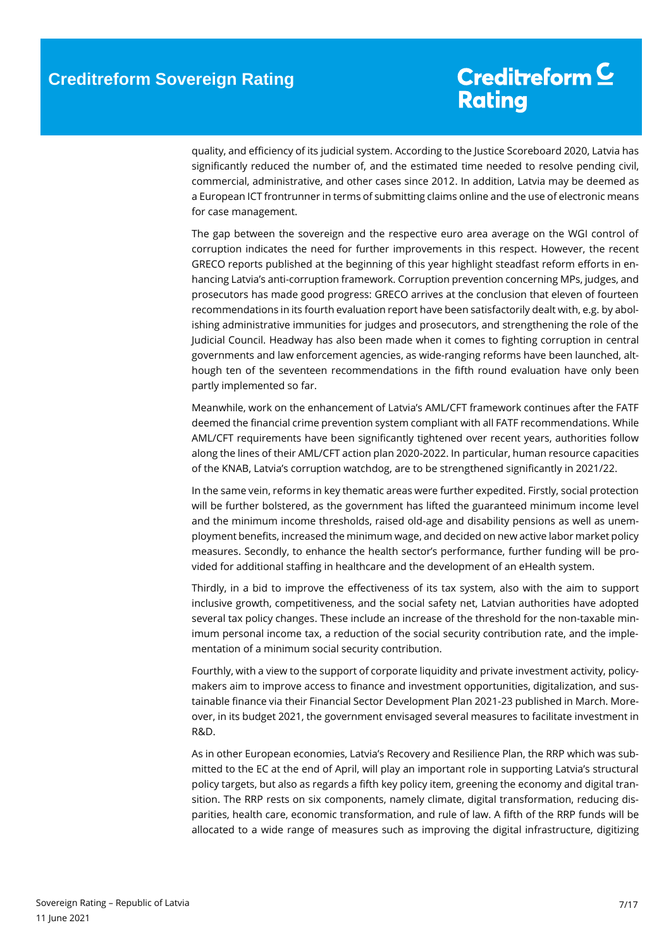quality, and efficiency of its judicial system. According to the Justice Scoreboard 2020, Latvia has significantly reduced the number of, and the estimated time needed to resolve pending civil, commercial, administrative, and other cases since 2012. In addition, Latvia may be deemed as a European ICT frontrunner in terms of submitting claims online and the use of electronic means for case management.

The gap between the sovereign and the respective euro area average on the WGI control of corruption indicates the need for further improvements in this respect. However, the recent GRECO reports published at the beginning of this year highlight steadfast reform efforts in enhancing Latvia's anti-corruption framework. Corruption prevention concerning MPs, judges, and prosecutors has made good progress: GRECO arrives at the conclusion that eleven of fourteen recommendations in its fourth evaluation report have been satisfactorily dealt with, e.g. by abolishing administrative immunities for judges and prosecutors, and strengthening the role of the Judicial Council. Headway has also been made when it comes to fighting corruption in central governments and law enforcement agencies, as wide-ranging reforms have been launched, although ten of the seventeen recommendations in the fifth round evaluation have only been partly implemented so far.

Meanwhile, work on the enhancement of Latvia's AML/CFT framework continues after the FATF deemed the financial crime prevention system compliant with all FATF recommendations. While AML/CFT requirements have been significantly tightened over recent years, authorities follow along the lines of their AML/CFT action plan 2020-2022. In particular, human resource capacities of the KNAB, Latvia's corruption watchdog, are to be strengthened significantly in 2021/22.

In the same vein, reforms in key thematic areas were further expedited. Firstly, social protection will be further bolstered, as the government has lifted the guaranteed minimum income level and the minimum income thresholds, raised old-age and disability pensions as well as unemployment benefits, increased the minimum wage, and decided on new active labor market policy measures. Secondly, to enhance the health sector's performance, further funding will be provided for additional staffing in healthcare and the development of an eHealth system.

Thirdly, in a bid to improve the effectiveness of its tax system, also with the aim to support inclusive growth, competitiveness, and the social safety net, Latvian authorities have adopted several tax policy changes. These include an increase of the threshold for the non-taxable minimum personal income tax, a reduction of the social security contribution rate, and the implementation of a minimum social security contribution.

Fourthly, with a view to the support of corporate liquidity and private investment activity, policymakers aim to improve access to finance and investment opportunities, digitalization, and sustainable finance via their Financial Sector Development Plan 2021-23 published in March. Moreover, in its budget 2021, the government envisaged several measures to facilitate investment in R&D.

As in other European economies, Latvia's Recovery and Resilience Plan, the RRP which was submitted to the EC at the end of April, will play an important role in supporting Latvia's structural policy targets, but also as regards a fifth key policy item, greening the economy and digital transition. The RRP rests on six components, namely climate, digital transformation, reducing disparities, health care, economic transformation, and rule of law. A fifth of the RRP funds will be allocated to a wide range of measures such as improving the digital infrastructure, digitizing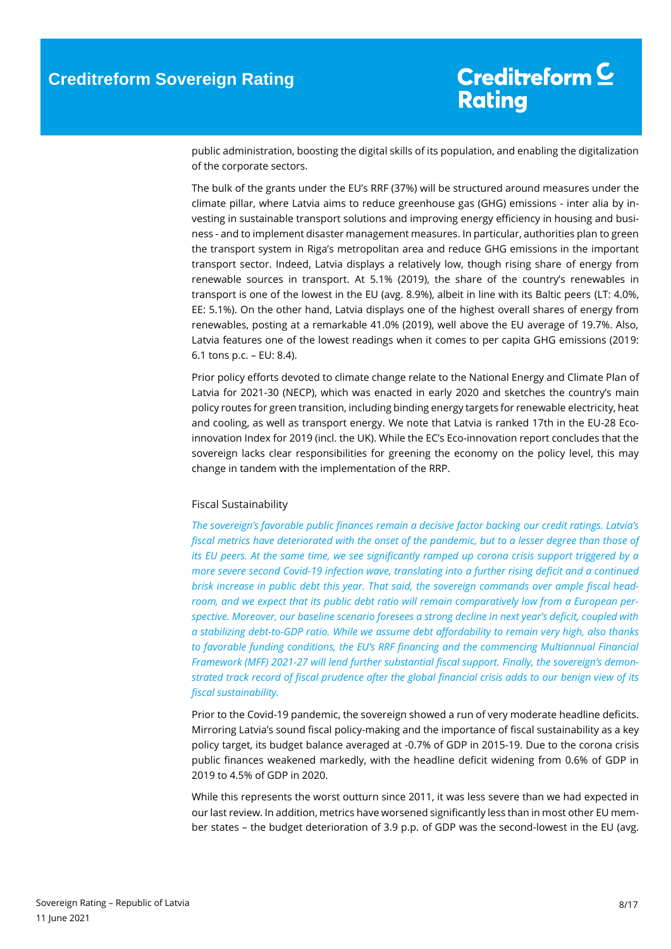public administration, boosting the digital skills of its population, and enabling the digitalization of the corporate sectors.

The bulk of the grants under the EU's RRF (37%) will be structured around measures under the climate pillar, where Latvia aims to reduce greenhouse gas (GHG) emissions - inter alia by investing in sustainable transport solutions and improving energy efficiency in housing and business - and to implement disaster management measures. In particular, authorities plan to green the transport system in Riga's metropolitan area and reduce GHG emissions in the important transport sector. Indeed, Latvia displays a relatively low, though rising share of energy from renewable sources in transport. At 5.1% (2019), the share of the country's renewables in transport is one of the lowest in the EU (avg. 8.9%), albeit in line with its Baltic peers (LT: 4.0%, EE: 5.1%). On the other hand, Latvia displays one of the highest overall shares of energy from renewables, posting at a remarkable 41.0% (2019), well above the EU average of 19.7%. Also, Latvia features one of the lowest readings when it comes to per capita GHG emissions (2019: 6.1 tons p.c. – EU: 8.4).

Prior policy efforts devoted to climate change relate to the National Energy and Climate Plan of Latvia for 2021-30 (NECP), which was enacted in early 2020 and sketches the country's main policy routes for green transition, including binding energy targets for renewable electricity, heat and cooling, as well as transport energy. We note that Latvia is ranked 17th in the EU-28 Ecoinnovation Index for 2019 (incl. the UK). While the EC's Eco-innovation report concludes that the sovereign lacks clear responsibilities for greening the economy on the policy level, this may change in tandem with the implementation of the RRP.

#### <span id="page-7-1"></span><span id="page-7-0"></span>Fiscal Sustainability

*The sovereign's favorable public finances remain a decisive factor backing our credit ratings. Latvia's fiscal metrics have deteriorated with the onset of the pandemic, but to a lesser degree than those of its EU peers. At the same time, we see significantly ramped up corona crisis support triggered by a more severe second Covid-19 infection wave, translating into a further rising deficit and a continued brisk increase in public debt this year. That said, the sovereign commands over ample fiscal headroom, and we expect that its public debt ratio will remain comparatively low from a European perspective. Moreover, our baseline scenario foresees a strong decline in next year's deficit, coupled with a stabilizing debt-to-GDP ratio. While we assume debt affordability to remain very high, also thanks to favorable funding conditions, the EU's RRF financing and the commencing Multiannual Financial Framework (MFF) 2021-27 will lend further substantial fiscal support. Finally, the sovereign's demonstrated track record of fiscal prudence after the global financial crisis adds to our benign view of its fiscal sustainability.*

Prior to the Covid-19 pandemic, the sovereign showed a run of very moderate headline deficits. Mirroring Latvia's sound fiscal policy-making and the importance of fiscal sustainability as a key policy target, its budget balance averaged at -0.7% of GDP in 2015-19. Due to the corona crisis public finances weakened markedly, with the headline deficit widening from 0.6% of GDP in 2019 to 4.5% of GDP in 2020.

While this represents the worst outturn since 2011, it was less severe than we had expected in our last review. In addition, metrics have worsened significantly less than in most other EU member states – the budget deterioration of 3.9 p.p. of GDP was the second-lowest in the EU (avg.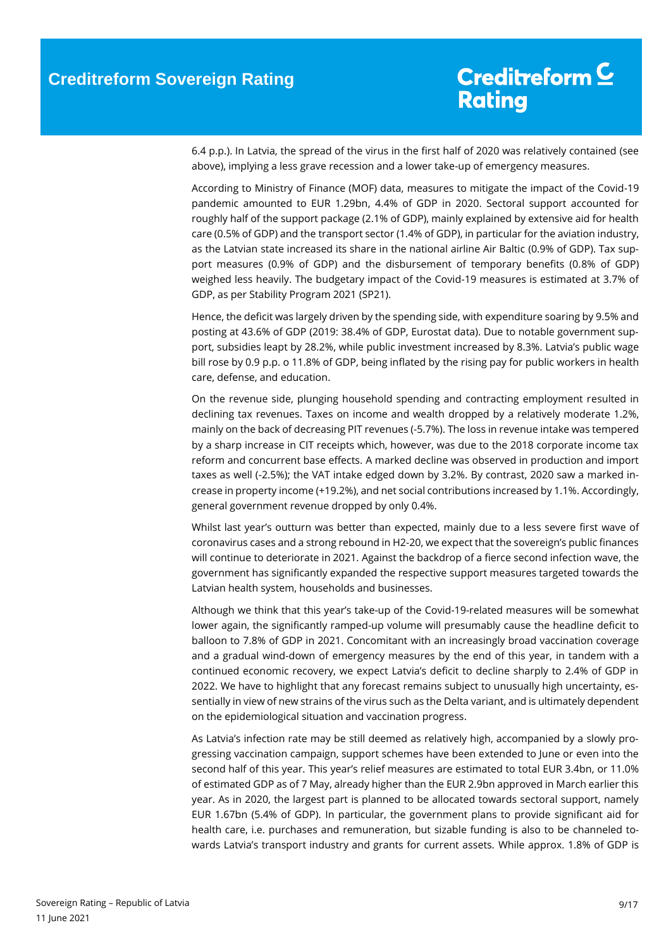6.4 p.p.). In Latvia, the spread of the virus in the first half of 2020 was relatively contained (see above), implying a less grave recession and a lower take-up of emergency measures.

According to Ministry of Finance (MOF) data, measures to mitigate the impact of the Covid-19 pandemic amounted to EUR 1.29bn, 4.4% of GDP in 2020. Sectoral support accounted for roughly half of the support package (2.1% of GDP), mainly explained by extensive aid for health care (0.5% of GDP) and the transport sector (1.4% of GDP), in particular for the aviation industry, as the Latvian state increased its share in the national airline Air Baltic (0.9% of GDP). Tax support measures (0.9% of GDP) and the disbursement of temporary benefits (0.8% of GDP) weighed less heavily. The budgetary impact of the Covid-19 measures is estimated at 3.7% of GDP, as per Stability Program 2021 (SP21).

Hence, the deficit was largely driven by the spending side, with expenditure soaring by 9.5% and posting at 43.6% of GDP (2019: 38.4% of GDP, Eurostat data). Due to notable government support, subsidies leapt by 28.2%, while public investment increased by 8.3%. Latvia's public wage bill rose by 0.9 p.p. o 11.8% of GDP, being inflated by the rising pay for public workers in health care, defense, and education.

On the revenue side, plunging household spending and contracting employment resulted in declining tax revenues. Taxes on income and wealth dropped by a relatively moderate 1.2%, mainly on the back of decreasing PIT revenues (-5.7%). The loss in revenue intake was tempered by a sharp increase in CIT receipts which, however, was due to the 2018 corporate income tax reform and concurrent base effects. A marked decline was observed in production and import taxes as well (-2.5%); the VAT intake edged down by 3.2%. By contrast, 2020 saw a marked increase in property income (+19.2%), and net social contributions increased by 1.1%. Accordingly, general government revenue dropped by only 0.4%.

Whilst last year's outturn was better than expected, mainly due to a less severe first wave of coronavirus cases and a strong rebound in H2-20, we expect that the sovereign's public finances will continue to deteriorate in 2021. Against the backdrop of a fierce second infection wave, the government has significantly expanded the respective support measures targeted towards the Latvian health system, households and businesses.

Although we think that this year's take-up of the Covid-19-related measures will be somewhat lower again, the significantly ramped-up volume will presumably cause the headline deficit to balloon to 7.8% of GDP in 2021. Concomitant with an increasingly broad vaccination coverage and a gradual wind-down of emergency measures by the end of this year, in tandem with a continued economic recovery, we expect Latvia's deficit to decline sharply to 2.4% of GDP in 2022. We have to highlight that any forecast remains subject to unusually high uncertainty, essentially in view of new strains of the virus such as the Delta variant, and is ultimately dependent on the epidemiological situation and vaccination progress.

As Latvia's infection rate may be still deemed as relatively high, accompanied by a slowly progressing vaccination campaign, support schemes have been extended to June or even into the second half of this year. This year's relief measures are estimated to total EUR 3.4bn, or 11.0% of estimated GDP as of 7 May, already higher than the EUR 2.9bn approved in March earlier this year. As in 2020, the largest part is planned to be allocated towards sectoral support, namely EUR 1.67bn (5.4% of GDP). In particular, the government plans to provide significant aid for health care, i.e. purchases and remuneration, but sizable funding is also to be channeled towards Latvia's transport industry and grants for current assets. While approx. 1.8% of GDP is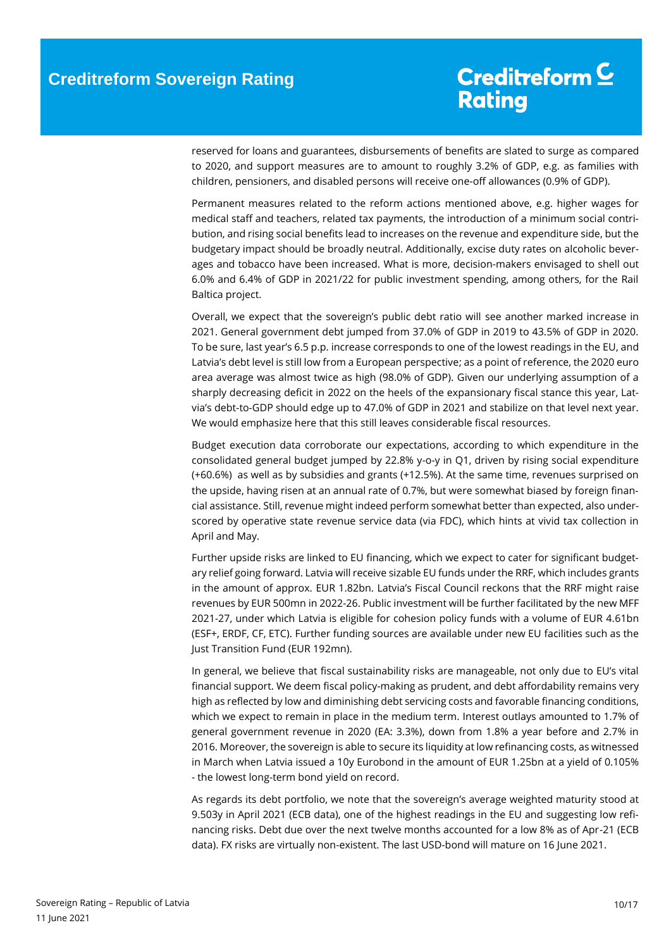# Creditreform C **Rating**

reserved for loans and guarantees, disbursements of benefits are slated to surge as compared to 2020, and support measures are to amount to roughly 3.2% of GDP, e.g. as families with children, pensioners, and disabled persons will receive one-off allowances (0.9% of GDP).

Permanent measures related to the reform actions mentioned above, e.g. higher wages for medical staff and teachers, related tax payments, the introduction of a minimum social contribution, and rising social benefits lead to increases on the revenue and expenditure side, but the budgetary impact should be broadly neutral. Additionally, excise duty rates on alcoholic beverages and tobacco have been increased. What is more, decision-makers envisaged to shell out 6.0% and 6.4% of GDP in 2021/22 for public investment spending, among others, for the Rail Baltica project.

Overall, we expect that the sovereign's public debt ratio will see another marked increase in 2021. General government debt jumped from 37.0% of GDP in 2019 to 43.5% of GDP in 2020. To be sure, last year's 6.5 p.p. increase corresponds to one of the lowest readings in the EU, and Latvia's debt level is still low from a European perspective; as a point of reference, the 2020 euro area average was almost twice as high (98.0% of GDP). Given our underlying assumption of a sharply decreasing deficit in 2022 on the heels of the expansionary fiscal stance this year, Latvia's debt-to-GDP should edge up to 47.0% of GDP in 2021 and stabilize on that level next year. We would emphasize here that this still leaves considerable fiscal resources.

Budget execution data corroborate our expectations, according to which expenditure in the consolidated general budget jumped by 22.8% y-o-y in Q1, driven by rising social expenditure (+60.6%) as well as by subsidies and grants (+12.5%). At the same time, revenues surprised on the upside, having risen at an annual rate of 0.7%, but were somewhat biased by foreign financial assistance. Still, revenue might indeed perform somewhat better than expected, also underscored by operative state revenue service data (via FDC), which hints at vivid tax collection in April and May.

Further upside risks are linked to EU financing, which we expect to cater for significant budgetary relief going forward. Latvia will receive sizable EU funds under the RRF, which includes grants in the amount of approx. EUR 1.82bn. Latvia's Fiscal Council reckons that the RRF might raise revenues by EUR 500mn in 2022-26. Public investment will be further facilitated by the new MFF 2021-27, under which Latvia is eligible for cohesion policy funds with a volume of EUR 4.61bn (ESF+, ERDF, CF, ETC). Further funding sources are available under new EU facilities such as the Just Transition Fund (EUR 192mn).

In general, we believe that fiscal sustainability risks are manageable, not only due to EU's vital financial support. We deem fiscal policy-making as prudent, and debt affordability remains very high as reflected by low and diminishing debt servicing costs and favorable financing conditions, which we expect to remain in place in the medium term. Interest outlays amounted to 1.7% of general government revenue in 2020 (EA: 3.3%), down from 1.8% a year before and 2.7% in 2016. Moreover, the sovereign is able to secure its liquidity at low refinancing costs, as witnessed in March when Latvia issued a 10y Eurobond in the amount of EUR 1.25bn at a yield of 0.105% - the lowest long-term bond yield on record.

As regards its debt portfolio, we note that the sovereign's average weighted maturity stood at 9.503y in April 2021 (ECB data), one of the highest readings in the EU and suggesting low refinancing risks. Debt due over the next twelve months accounted for a low 8% as of Apr-21 (ECB data). FX risks are virtually non-existent. The last USD-bond will mature on 16 June 2021.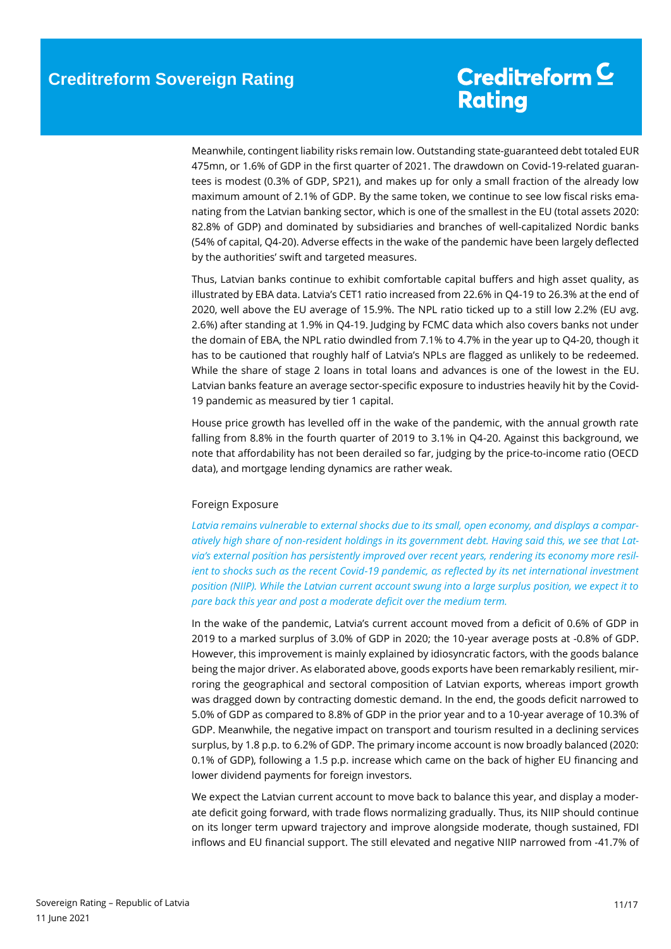Meanwhile, contingent liability risks remain low. Outstanding state-guaranteed debt totaled EUR 475mn, or 1.6% of GDP in the first quarter of 2021. The drawdown on Covid-19-related guarantees is modest (0.3% of GDP, SP21), and makes up for only a small fraction of the already low maximum amount of 2.1% of GDP. By the same token, we continue to see low fiscal risks emanating from the Latvian banking sector, which is one of the smallest in the EU (total assets 2020: 82.8% of GDP) and dominated by subsidiaries and branches of well-capitalized Nordic banks (54% of capital, Q4-20). Adverse effects in the wake of the pandemic have been largely deflected by the authorities' swift and targeted measures.

Thus, Latvian banks continue to exhibit comfortable capital buffers and high asset quality, as illustrated by EBA data. Latvia's CET1 ratio increased from 22.6% in Q4-19 to 26.3% at the end of 2020, well above the EU average of 15.9%. The NPL ratio ticked up to a still low 2.2% (EU avg. 2.6%) after standing at 1.9% in Q4-19. Judging by FCMC data which also covers banks not under the domain of EBA, the NPL ratio dwindled from 7.1% to 4.7% in the year up to Q4-20, though it has to be cautioned that roughly half of Latvia's NPLs are flagged as unlikely to be redeemed. While the share of stage 2 loans in total loans and advances is one of the lowest in the EU. Latvian banks feature an average sector-specific exposure to industries heavily hit by the Covid-19 pandemic as measured by tier 1 capital.

House price growth has levelled off in the wake of the pandemic, with the annual growth rate falling from 8.8% in the fourth quarter of 2019 to 3.1% in Q4-20. Against this background, we note that affordability has not been derailed so far, judging by the price-to-income ratio (OECD data), and mortgage lending dynamics are rather weak.

### Foreign Exposure

*Latvia remains vulnerable to external shocks due to its small, open economy, and displays a comparatively high share of non-resident holdings in its government debt. Having said this, we see that Latvia's external position has persistently improved over recent years, rendering its economy more resilient to shocks such as the recent Covid-19 pandemic, as reflected by its net international investment position (NIIP). While the Latvian current account swung into a large surplus position, we expect it to pare back this year and post a moderate deficit over the medium term.*

In the wake of the pandemic, Latvia's current account moved from a deficit of 0.6% of GDP in 2019 to a marked surplus of 3.0% of GDP in 2020; the 10-year average posts at -0.8% of GDP. However, this improvement is mainly explained by idiosyncratic factors, with the goods balance being the major driver. As elaborated above, goods exports have been remarkably resilient, mirroring the geographical and sectoral composition of Latvian exports, whereas import growth was dragged down by contracting domestic demand. In the end, the goods deficit narrowed to 5.0% of GDP as compared to 8.8% of GDP in the prior year and to a 10-year average of 10.3% of GDP. Meanwhile, the negative impact on transport and tourism resulted in a declining services surplus, by 1.8 p.p. to 6.2% of GDP. The primary income account is now broadly balanced (2020: 0.1% of GDP), following a 1.5 p.p. increase which came on the back of higher EU financing and lower dividend payments for foreign investors.

We expect the Latvian current account to move back to balance this year, and display a moderate deficit going forward, with trade flows normalizing gradually. Thus, its NIIP should continue on its longer term upward trajectory and improve alongside moderate, though sustained, FDI inflows and EU financial support. The still elevated and negative NIIP narrowed from -41.7% of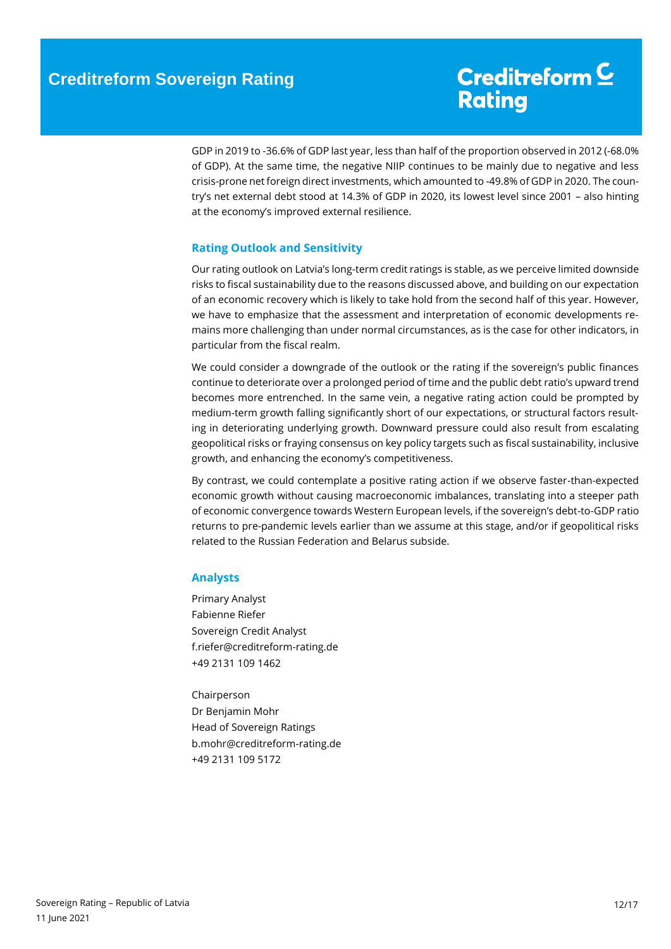GDP in 2019 to -36.6% of GDP last year, less than half of the proportion observed in 2012 (-68.0% of GDP). At the same time, the negative NIIP continues to be mainly due to negative and less crisis-prone net foreign direct investments, which amounted to -49.8% of GDP in 2020. The country's net external debt stood at 14.3% of GDP in 2020, its lowest level since 2001 – also hinting at the economy's improved external resilience.

### <span id="page-11-0"></span>**Rating Outlook and Sensitivity**

Our rating outlook on Latvia's long-term credit ratings is stable, as we perceive limited downside risks to fiscal sustainability due to the reasons discussed above, and building on our expectation of an economic recovery which is likely to take hold from the second half of this year. However, we have to emphasize that the assessment and interpretation of economic developments remains more challenging than under normal circumstances, as is the case for other indicators, in particular from the fiscal realm.

We could consider a downgrade of the outlook or the rating if the sovereign's public finances continue to deteriorate over a prolonged period of time and the public debt ratio's upward trend becomes more entrenched. In the same vein, a negative rating action could be prompted by medium-term growth falling significantly short of our expectations, or structural factors resulting in deteriorating underlying growth. Downward pressure could also result from escalating geopolitical risks or fraying consensus on key policy targets such as fiscal sustainability, inclusive growth, and enhancing the economy's competitiveness.

By contrast, we could contemplate a positive rating action if we observe faster-than-expected economic growth without causing macroeconomic imbalances, translating into a steeper path of economic convergence towards Western European levels, if the sovereign's debt-to-GDP ratio returns to pre-pandemic levels earlier than we assume at this stage, and/or if geopolitical risks related to the Russian Federation and Belarus subside.

### <span id="page-11-1"></span>**Analysts**

Primary Analyst Fabienne Riefer Sovereign Credit Analyst f.riefer@creditreform-rating.de +49 2131 109 1462

<span id="page-11-2"></span>Chairperson Dr Benjamin Mohr Head of Sovereign Ratings b.mohr@creditreform-rating.de +49 2131 109 5172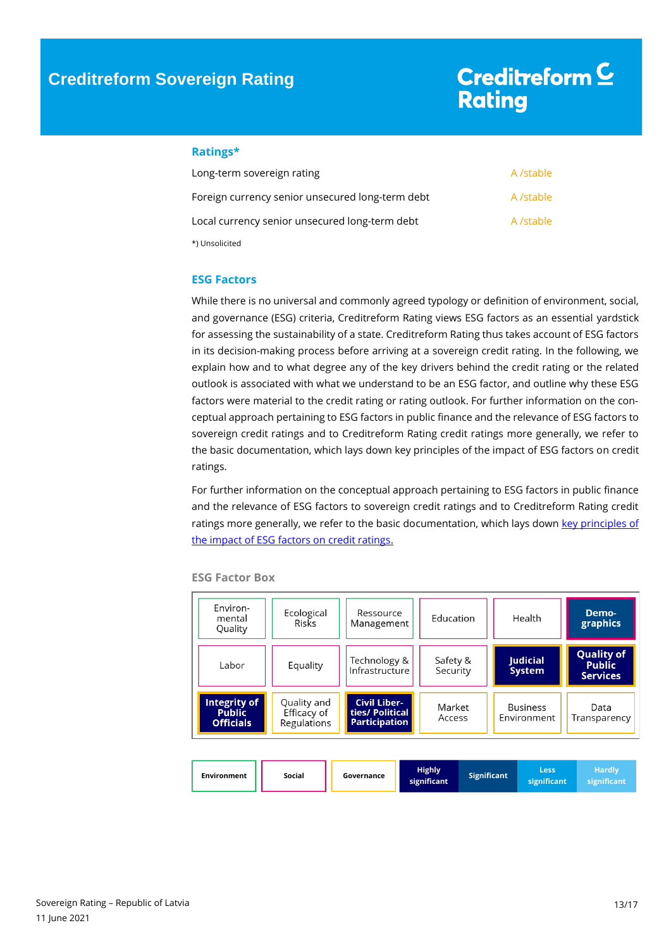### **Ratings\***

| Long-term sovereign rating                       | A /stable |
|--------------------------------------------------|-----------|
| Foreign currency senior unsecured long-term debt | A /stable |
| Local currency senior unsecured long-term debt   | A /stable |
| *) Unsolicited                                   |           |

### <span id="page-12-0"></span>**ESG Factors**

While there is no universal and commonly agreed typology or definition of environment, social, and governance (ESG) criteria, Creditreform Rating views ESG factors as an essential yardstick for assessing the sustainability of a state. Creditreform Rating thus takes account of ESG factors in its decision-making process before arriving at a sovereign credit rating. In the following, we explain how and to what degree any of the key drivers behind the credit rating or the related outlook is associated with what we understand to be an ESG factor, and outline why these ESG factors were material to the credit rating or rating outlook. For further information on the conceptual approach pertaining to ESG factors in public finance and the relevance of ESG factors to sovereign credit ratings and to Creditreform Rating credit ratings more generally, we refer to the basic documentation, which lays down key principles of the impact of ESG factors on credit ratings.

For further information on the conceptual approach pertaining to ESG factors in public finance and the relevance of ESG factors to sovereign credit ratings and to Creditreform Rating credit ratings more generally, we refer to the basic documentation, which lays down key principles of [the impact of ESG factors on credit ratings.](https://www.creditreform-rating.de/en/about-us/regulatory-requirements.html?file=files/content/downloads/Externes%20Rating/Regulatorische%20Anforderungen/EN/Ratingmethodiken%20EN/The%20Impact%20of%20ESG%20Factors%20on%20Credit%20Ratings.pdf)

| Environ-<br>mental<br>Quality                     | Ecological<br>Risks                       | Ressource<br>Management                                        |  | Education                    |                    | Health                         |                            | Demo-<br>graphics            |  |  |  |  |  |  |  |  |  |  |                           |                                                       |
|---------------------------------------------------|-------------------------------------------|----------------------------------------------------------------|--|------------------------------|--------------------|--------------------------------|----------------------------|------------------------------|--|--|--|--|--|--|--|--|--|--|---------------------------|-------------------------------------------------------|
| Labor                                             | Equality                                  | Technology &<br>Infrastructure                                 |  | Safety &<br>Security         |                    |                                |                            |                              |  |  |  |  |  |  |  |  |  |  | Judicial<br><b>System</b> | <b>Quality of</b><br><b>Public</b><br><b>Services</b> |
| Integrity of<br><b>Public</b><br><b>Officials</b> | Quality and<br>Efficacy of<br>Regulations | <b>Civil Liber-</b><br>ties/ Political<br><b>Participation</b> |  | Market<br>Access             |                    | <b>Business</b><br>Environment |                            | Data<br>Transparency         |  |  |  |  |  |  |  |  |  |  |                           |                                                       |
| <b>Environment</b>                                | Social                                    | Governance                                                     |  | <b>Highly</b><br>significant | <b>Significant</b> |                                | <b>Less</b><br>significant | <b>Hardly</b><br>significant |  |  |  |  |  |  |  |  |  |  |                           |                                                       |

**ESG Factor Box**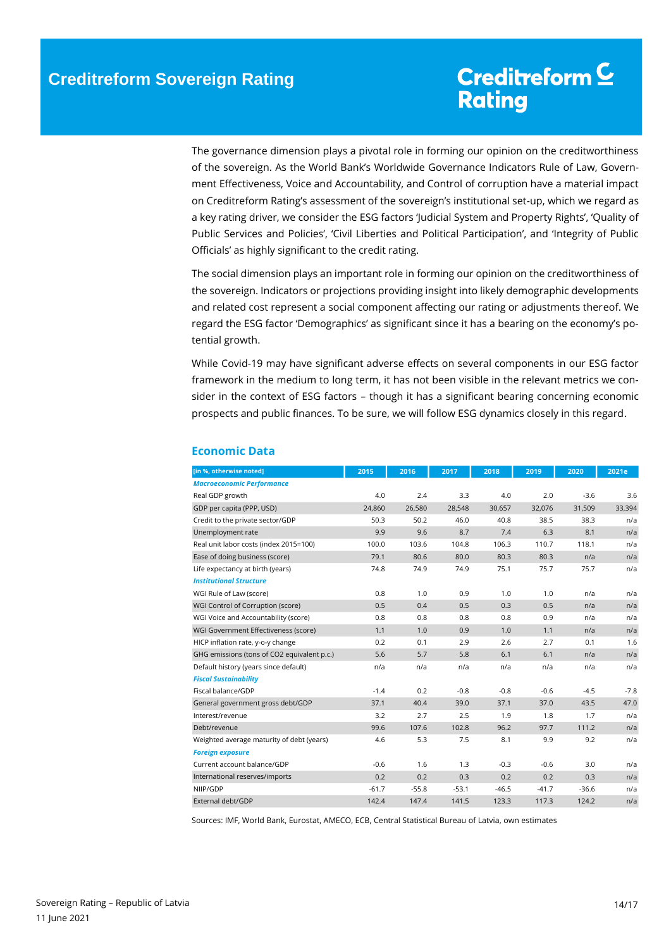The governance dimension plays a pivotal role in forming our opinion on the creditworthiness of the sovereign. As the World Bank's Worldwide Governance Indicators Rule of Law, Government Effectiveness, Voice and Accountability, and Control of corruption have a material impact on Creditreform Rating's assessment of the sovereign's institutional set-up, which we regard as a key rating driver, we consider the ESG factors 'Judicial System and Property Rights', 'Quality of Public Services and Policies', 'Civil Liberties and Political Participation', and 'Integrity of Public Officials' as highly significant to the credit rating.

The social dimension plays an important role in forming our opinion on the creditworthiness of the sovereign. Indicators or projections providing insight into likely demographic developments and related cost represent a social component affecting our rating or adjustments thereof. We regard the ESG factor 'Demographics' as significant since it has a bearing on the economy's potential growth.

While Covid-19 may have significant adverse effects on several components in our ESG factor framework in the medium to long term, it has not been visible in the relevant metrics we consider in the context of ESG factors – though it has a significant bearing concerning economic prospects and public finances. To be sure, we will follow ESG dynamics closely in this regard.

| [in %, otherwise noted]                     | 2015    | 2016    | 2017    | 2018    | 2019    | 2020    | 2021e  |
|---------------------------------------------|---------|---------|---------|---------|---------|---------|--------|
| <b>Macroeconomic Performance</b>            |         |         |         |         |         |         |        |
| Real GDP growth                             | 4.0     | 2.4     | 3.3     | 4.0     | 2.0     | $-3.6$  | 3.6    |
| GDP per capita (PPP, USD)                   | 24,860  | 26,580  | 28,548  | 30,657  | 32,076  | 31,509  | 33,394 |
| Credit to the private sector/GDP            | 50.3    | 50.2    | 46.0    | 40.8    | 38.5    | 38.3    | n/a    |
| Unemployment rate                           | 9.9     | 9.6     | 8.7     | 7.4     | 6.3     | 8.1     | n/a    |
| Real unit labor costs (index 2015=100)      | 100.0   | 103.6   | 104.8   | 106.3   | 110.7   | 118.1   | n/a    |
| Ease of doing business (score)              | 79.1    | 80.6    | 80.0    | 80.3    | 80.3    | n/a     | n/a    |
| Life expectancy at birth (years)            | 74.8    | 74.9    | 74.9    | 75.1    | 75.7    | 75.7    | n/a    |
| <b>Institutional Structure</b>              |         |         |         |         |         |         |        |
| WGI Rule of Law (score)                     | 0.8     | 1.0     | 0.9     | 1.0     | 1.0     | n/a     | n/a    |
| WGI Control of Corruption (score)           | 0.5     | 0.4     | 0.5     | 0.3     | 0.5     | n/a     | n/a    |
| WGI Voice and Accountability (score)        | 0.8     | 0.8     | 0.8     | 0.8     | 0.9     | n/a     | n/a    |
| WGI Government Effectiveness (score)        | 1.1     | 1.0     | 0.9     | 1.0     | 1.1     | n/a     | n/a    |
| HICP inflation rate, y-o-y change           | 0.2     | 0.1     | 2.9     | 2.6     | 2.7     | 0.1     | 1.6    |
| GHG emissions (tons of CO2 equivalent p.c.) | 5.6     | 5.7     | 5.8     | 6.1     | 6.1     | n/a     | n/a    |
| Default history (years since default)       | n/a     | n/a     | n/a     | n/a     | n/a     | n/a     | n/a    |
| <b>Fiscal Sustainability</b>                |         |         |         |         |         |         |        |
| Fiscal balance/GDP                          | $-1.4$  | 0.2     | $-0.8$  | $-0.8$  | $-0.6$  | $-4.5$  | $-7.8$ |
| General government gross debt/GDP           | 37.1    | 40.4    | 39.0    | 37.1    | 37.0    | 43.5    | 47.0   |
| Interest/revenue                            | 3.2     | 2.7     | 2.5     | 1.9     | 1.8     | 1.7     | n/a    |
| Debt/revenue                                | 99.6    | 107.6   | 102.8   | 96.2    | 97.7    | 111.2   | n/a    |
| Weighted average maturity of debt (years)   | 4.6     | 5.3     | 7.5     | 8.1     | 9.9     | 9.2     | n/a    |
| <b>Foreign exposure</b>                     |         |         |         |         |         |         |        |
| Current account balance/GDP                 | $-0.6$  | 1.6     | 1.3     | $-0.3$  | $-0.6$  | 3.0     | n/a    |
| International reserves/imports              | 0.2     | 0.2     | 0.3     | 0.2     | 0.2     | 0.3     | n/a    |
| NIIP/GDP                                    | $-61.7$ | $-55.8$ | $-53.1$ | $-46.5$ | $-41.7$ | $-36.6$ | n/a    |
| External debt/GDP                           | 142.4   | 147.4   | 141.5   | 123.3   | 117.3   | 124.2   | n/a    |

### <span id="page-13-0"></span>**Economic Data**

Sources: IMF, World Bank, Eurostat, AMECO, ECB, Central Statistical Bureau of Latvia, own estimates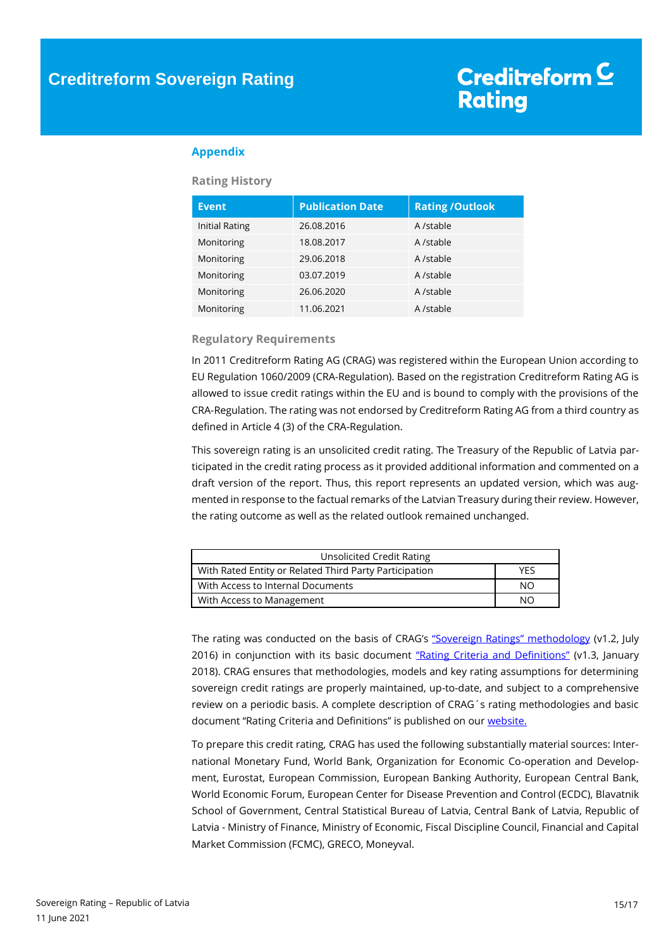### **Appendix**

### **Rating History**

| <b>Event</b>          | <b>Publication Date</b> | <b>Rating / Outlook</b> |
|-----------------------|-------------------------|-------------------------|
| <b>Initial Rating</b> | 26.08.2016              | A /stable               |
| Monitoring            | 18.08.2017              | A /stable               |
| Monitoring            | 29.06.2018              | A /stable               |
| Monitoring            | 03.07.2019              | A /stable               |
| Monitoring            | 26.06.2020              | A /stable               |
| Monitoring            | 11.06.2021              | A /stable               |

### **Regulatory Requirements**

In 2011 Creditreform Rating AG (CRAG) was registered within the European Union according to EU Regulation 1060/2009 (CRA-Regulation). Based on the registration Creditreform Rating AG is allowed to issue credit ratings within the EU and is bound to comply with the provisions of the CRA-Regulation. The rating was not endorsed by Creditreform Rating AG from a third country as defined in Article 4 (3) of the CRA-Regulation.

This sovereign rating is an unsolicited credit rating. The Treasury of the Republic of Latvia participated in the credit rating process as it provided additional information and commented on a draft version of the report. Thus, this report represents an updated version, which was augmented in response to the factual remarks of the Latvian Treasury during their review. However, the rating outcome as well as the related outlook remained unchanged.

| Unsolicited Credit Rating                              |     |
|--------------------------------------------------------|-----|
| With Rated Entity or Related Third Party Participation | YFS |
| With Access to Internal Documents                      | NO. |
| With Access to Management                              | NΩ  |

The rating was conducted on the basis of CRAG's ["Sovereign Ratings" methodology](https://www.creditreform-rating.de/en/about-us/regulatory-requirements.html?file=files/content/downloads/Externes%20Rating/Regulatorische%20Anforderungen/EN/Ratingmethodiken%20EN/Rating%20Methodology%20Sovereign%20Ratings.pdf) (v1.2, July 2016) in conjunction with its basic document ["Rating Criteria and Definitions"](https://www.creditreform-rating.de/en/about-us/regulatory-requirements.html?file=files/content/downloads/Externes%20Rating/Regulatorische%20Anforderungen/EN/Ratingmethodiken%20EN/CRAG%20Rating%20Criteria%20and%20Definitions.pdf) (v1.3, January 2018). CRAG ensures that methodologies, models and key rating assumptions for determining sovereign credit ratings are properly maintained, up-to-date, and subject to a comprehensive review on a periodic basis. A complete description of CRAG´s rating methodologies and basic document "Rating Criteria and Definitions" is published on our [website.](https://www.creditreform-rating.de/en/about-us/regulatory-requirements.html)

To prepare this credit rating, CRAG has used the following substantially material sources: International Monetary Fund, World Bank, Organization for Economic Co-operation and Development, Eurostat, European Commission, European Banking Authority, European Central Bank, World Economic Forum, European Center for Disease Prevention and Control (ECDC), Blavatnik School of Government, Central Statistical Bureau of Latvia, Central Bank of Latvia, Republic of Latvia - Ministry of Finance, Ministry of Economic, Fiscal Discipline Council, Financial and Capital Market Commission (FCMC), GRECO, Moneyval.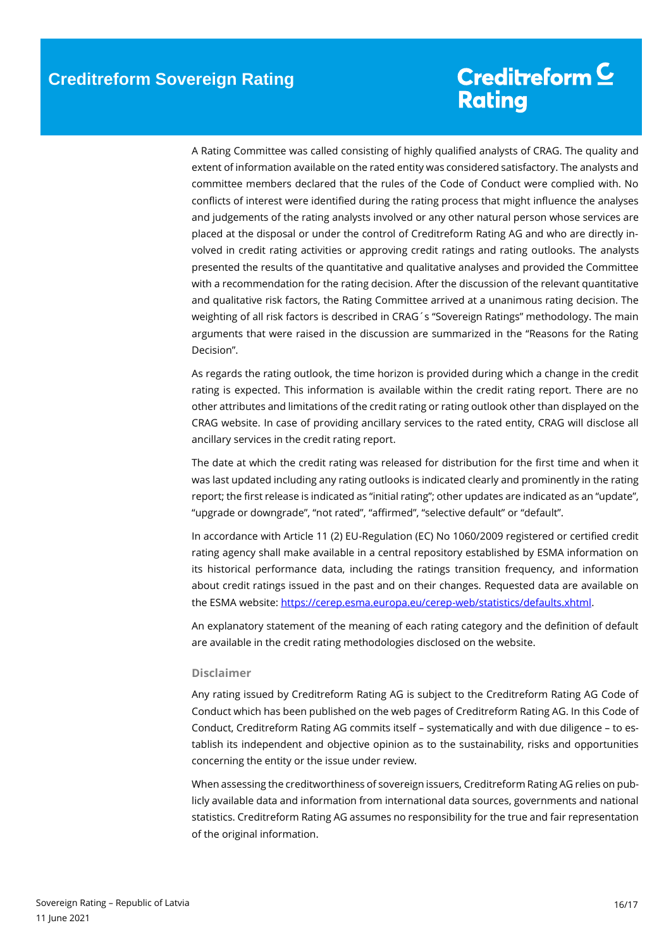A Rating Committee was called consisting of highly qualified analysts of CRAG. The quality and extent of information available on the rated entity was considered satisfactory. The analysts and committee members declared that the rules of the Code of Conduct were complied with. No conflicts of interest were identified during the rating process that might influence the analyses and judgements of the rating analysts involved or any other natural person whose services are placed at the disposal or under the control of Creditreform Rating AG and who are directly involved in credit rating activities or approving credit ratings and rating outlooks. The analysts presented the results of the quantitative and qualitative analyses and provided the Committee with a recommendation for the rating decision. After the discussion of the relevant quantitative and qualitative risk factors, the Rating Committee arrived at a unanimous rating decision. The weighting of all risk factors is described in CRAG´s "Sovereign Ratings" methodology. The main arguments that were raised in the discussion are summarized in the "Reasons for the Rating Decision".

As regards the rating outlook, the time horizon is provided during which a change in the credit rating is expected. This information is available within the credit rating report. There are no other attributes and limitations of the credit rating or rating outlook other than displayed on the CRAG website. In case of providing ancillary services to the rated entity, CRAG will disclose all ancillary services in the credit rating report.

The date at which the credit rating was released for distribution for the first time and when it was last updated including any rating outlooks is indicated clearly and prominently in the rating report; the first release is indicated as "initial rating"; other updates are indicated as an "update", "upgrade or downgrade", "not rated", "affirmed", "selective default" or "default".

In accordance with Article 11 (2) EU-Regulation (EC) No 1060/2009 registered or certified credit rating agency shall make available in a central repository established by ESMA information on its historical performance data, including the ratings transition frequency, and information about credit ratings issued in the past and on their changes. Requested data are available on the ESMA website[: https://cerep.esma.europa.eu/cerep-web/statistics/defaults.xhtml.](https://cerep.esma.europa.eu/cerep-web/statistics/defaults.xhtml)

An explanatory statement of the meaning of each rating category and the definition of default are available in the credit rating methodologies disclosed on the website.

#### **Disclaimer**

Any rating issued by Creditreform Rating AG is subject to the Creditreform Rating AG Code of Conduct which has been published on the web pages of Creditreform Rating AG. In this Code of Conduct, Creditreform Rating AG commits itself – systematically and with due diligence – to establish its independent and objective opinion as to the sustainability, risks and opportunities concerning the entity or the issue under review.

When assessing the creditworthiness of sovereign issuers, Creditreform Rating AG relies on publicly available data and information from international data sources, governments and national statistics. Creditreform Rating AG assumes no responsibility for the true and fair representation of the original information.